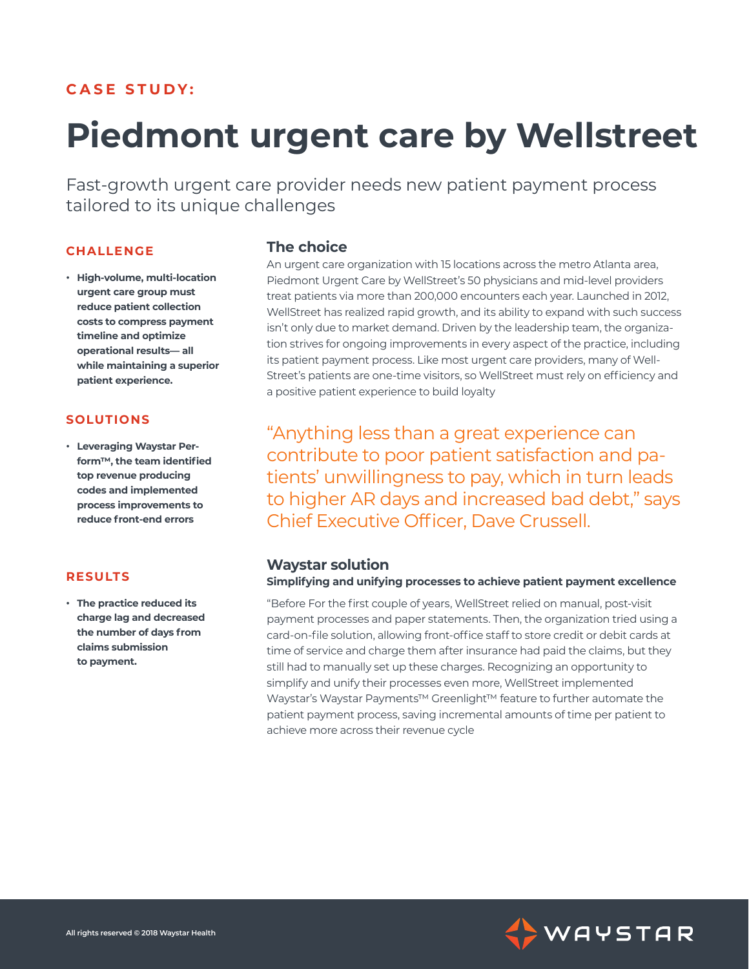# **CASE STUDY:**

# **Piedmont urgent care by Wellstreet**

Fast-growth urgent care provider needs new patient payment process tailored to its unique challenges

### **CHALLENGE**

**ٚ High-volume, multi-location urgent care group must reduce patient collection costs to compress payment timeline and optimize operational results— all while maintaining a superior patient experience.**

### **SOLUTIONS**

**ٚ Leveraging Waystar Perform™, the team identified top revenue producing codes and implemented process improvements to reduce front-end errors** 

### **RESULTS**

**ٚ The practice reduced its charge lag and decreased the number of days from claims submission to payment.**

## **The choice**

An urgent care organization with 15 locations across the metro Atlanta area, Piedmont Urgent Care by WellStreet's 50 physicians and mid-level providers treat patients via more than 200,000 encounters each year. Launched in 2012, WellStreet has realized rapid growth, and its ability to expand with such success isn't only due to market demand. Driven by the leadership team, the organization strives for ongoing improvements in every aspect of the practice, including its patient payment process. Like most urgent care providers, many of Well-Street's patients are one-time visitors, so WellStreet must rely on efficiency and a positive patient experience to build loyalty

"Anything less than a great experience can contribute to poor patient satisfaction and patients' unwillingness to pay, which in turn leads to higher AR days and increased bad debt," says Chief Executive Officer, Dave Crussell.

### **Waystar solution Simplifying and unifying processes to achieve patient payment excellence**

"Before For the first couple of years, WellStreet relied on manual, post-visit payment processes and paper statements. Then, the organization tried using a card-on-file solution, allowing front-office staff to store credit or debit cards at time of service and charge them after insurance had paid the claims, but they still had to manually set up these charges. Recognizing an opportunity to simplify and unify their processes even more, WellStreet implemented Waystar's Waystar Payments™ Greenlight™ feature to further automate the patient payment process, saving incremental amounts of time per patient to achieve more across their revenue cycle

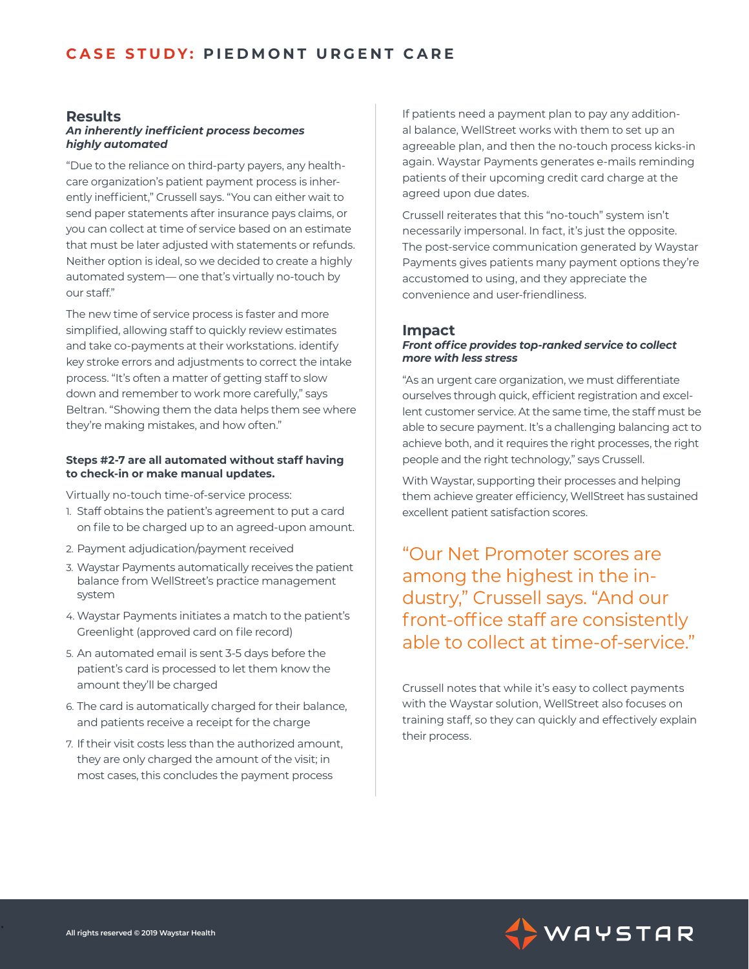#### **Results**

#### *An inherently inefficient process becomes highly automated*

"Due to the reliance on third-party payers, any healthcare organization's patient payment process is inherently inefficient," Crussell says. "You can either wait to send paper statements after insurance pays claims, or you can collect at time of service based on an estimate that must be later adjusted with statements or refunds. Neither option is ideal, so we decided to create a highly automated system— one that's virtually no-touch by our staff."

The new time of service process is faster and more simplified, allowing staff to quickly review estimates and take co-payments at their workstations. identify key stroke errors and adjustments to correct the intake process. "It's often a matter of getting staff to slow down and remember to work more carefully," says Beltran. "Showing them the data helps them see where they're making mistakes, and how often."

#### **Steps #2-7 are all automated without staff having to check-in or make manual updates.**

Virtually no-touch time-of-service process:

- 1. Staff obtains the patient's agreement to put a card on file to be charged up to an agreed-upon amount.
- 2. Payment adjudication/payment received
- 3. Waystar Payments automatically receives the patient balance from WellStreet's practice management system
- 4. Waystar Payments initiates a match to the patient's Greenlight (approved card on file record)
- 5. An automated email is sent 3-5 days before the patient's card is processed to let them know the amount they'll be charged
- 6. The card is automatically charged for their balance, and patients receive a receipt for the charge
- 7. If their visit costs less than the authorized amount, they are only charged the amount of the visit; in most cases, this concludes the payment process

If patients need a payment plan to pay any additional balance, WellStreet works with them to set up an agreeable plan, and then the no-touch process kicks-in again. Waystar Payments generates e-mails reminding patients of their upcoming credit card charge at the agreed upon due dates.

Crussell reiterates that this "no-touch" system isn't necessarily impersonal. In fact, it's just the opposite. The post-service communication generated by Waystar Payments gives patients many payment options they're accustomed to using, and they appreciate the convenience and user-friendliness.

## **Impact**

#### *Front office provides top-ranked service to collect more with less stress*

"As an urgent care organization, we must differentiate ourselves through quick, efficient registration and excellent customer service. At the same time, the staff must be able to secure payment. It's a challenging balancing act to achieve both, and it requires the right processes, the right people and the right technology," says Crussell.

With Waystar, supporting their processes and helping them achieve greater efficiency, WellStreet has sustained excellent patient satisfaction scores.

"Our Net Promoter scores are among the highest in the industry," Crussell says. "And our front-office staff are consistently able to collect at time-of-service."

Crussell notes that while it's easy to collect payments with the Waystar solution, WellStreet also focuses on training staff, so they can quickly and effectively explain their process.